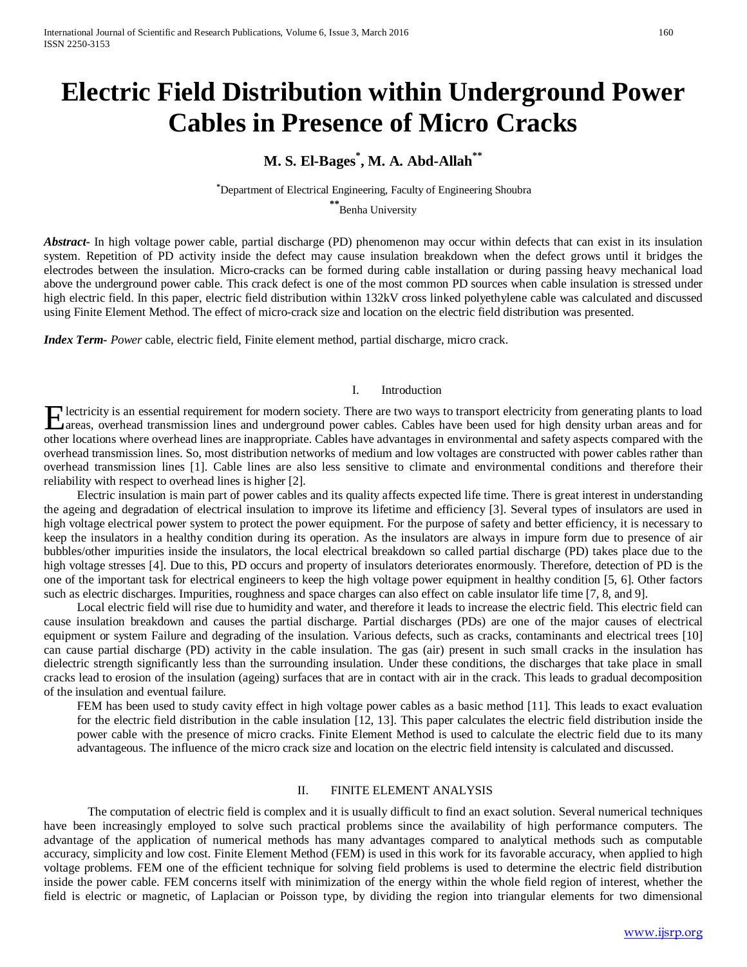# **Electric Field Distribution within Underground Power Cables in Presence of Micro Cracks**

# **M. S. El-Bages\* , M. A. Abd-Allah\*\***

**\*** Department of Electrical Engineering, Faculty of Engineering Shoubra

**\*\***Benha University

*Abstract***-** In high voltage power cable, partial discharge (PD) phenomenon may occur within defects that can exist in its insulation system. Repetition of PD activity inside the defect may cause insulation breakdown when the defect grows until it bridges the electrodes between the insulation. Micro-cracks can be formed during cable installation or during passing heavy mechanical load above the underground power cable. This crack defect is one of the most common PD sources when cable insulation is stressed under high electric field. In this paper, electric field distribution within 132kV cross linked polyethylene cable was calculated and discussed using Finite Element Method. The effect of micro-crack size and location on the electric field distribution was presented.

*Index Term- Power* cable, electric field, Finite element method, partial discharge, micro crack.

# I. Introduction

Electricity is an essential requirement for modern society. There are two ways to transport electricity from generating plants to load areas, overhead transmission lines and underground power cables. Cables have been used areas, overhead transmission lines and underground power cables. Cables have been used for high density urban areas and for other locations where overhead lines are inappropriate. Cables have advantages in environmental and safety aspects compared with the overhead transmission lines. So, most distribution networks of medium and low voltages are constructed with power cables rather than overhead transmission lines [1]. Cable lines are also less sensitive to climate and environmental conditions and therefore their reliability with respect to overhead lines is higher [2].

Electric insulation is main part of power cables and its quality affects expected life time. There is great interest in understanding the ageing and degradation of electrical insulation to improve its lifetime and efficiency [3]. Several types of insulators are used in high voltage electrical power system to protect the power equipment. For the purpose of safety and better efficiency, it is necessary to keep the insulators in a healthy condition during its operation. As the insulators are always in impure form due to presence of air bubbles/other impurities inside the insulators, the local electrical breakdown so called partial discharge (PD) takes place due to the high voltage stresses [4]. Due to this, PD occurs and property of insulators deteriorates enormously. Therefore, detection of PD is the one of the important task for electrical engineers to keep the high voltage power equipment in healthy condition [5, 6]. Other factors such as electric discharges. Impurities, roughness and space charges can also effect on cable insulator life time [7, 8, and 9].

Local electric field will rise due to humidity and water, and therefore it leads to increase the electric field. This electric field can cause insulation breakdown and causes the partial discharge. Partial discharges (PDs) are one of the major causes of electrical equipment or system Failure and degrading of the insulation. Various defects, such as cracks, contaminants and electrical trees [10] can cause partial discharge (PD) activity in the cable insulation. The gas (air) present in such small cracks in the insulation has dielectric strength significantly less than the surrounding insulation. Under these conditions, the discharges that take place in small cracks lead to erosion of the insulation (ageing) surfaces that are in contact with air in the crack. This leads to gradual decomposition of the insulation and eventual failure.

FEM has been used to study cavity effect in high voltage power cables as a basic method [11]. This leads to exact evaluation for the electric field distribution in the cable insulation [12, 13]. This paper calculates the electric field distribution inside the power cable with the presence of micro cracks. Finite Element Method is used to calculate the electric field due to its many advantageous. The influence of the micro crack size and location on the electric field intensity is calculated and discussed.

# II. FINITE ELEMENT ANALYSIS

The computation of electric field is complex and it is usually difficult to find an exact solution. Several numerical techniques have been increasingly employed to solve such practical problems since the availability of high performance computers. The advantage of the application of numerical methods has many advantages compared to analytical methods such as computable accuracy, simplicity and low cost. Finite Element Method (FEM) is used in this work for its favorable accuracy, when applied to high voltage problems. FEM one of the efficient technique for solving field problems is used to determine the electric field distribution inside the power cable. FEM concerns itself with minimization of the energy within the whole field region of interest, whether the field is electric or magnetic, of Laplacian or Poisson type, by dividing the region into triangular elements for two dimensional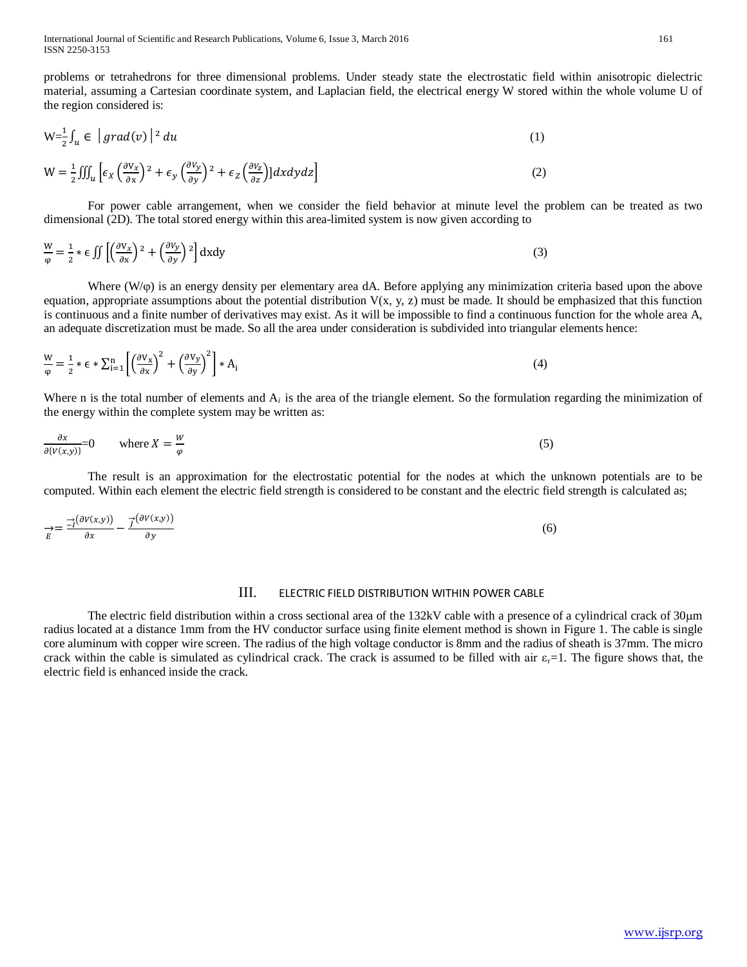International Journal of Scientific and Research Publications, Volume 6, Issue 3, March 2016 161 ISSN 2250-3153

problems or tetrahedrons for three dimensional problems. Under steady state the electrostatic field within anisotropic dielectric material, assuming a Cartesian coordinate system, and Laplacian field, the electrical energy W stored within the whole volume U of the region considered is:

$$
W = \frac{1}{2} \int_{u} \epsilon \left| \text{grad}(v) \right|^{2} du \tag{1}
$$

$$
W = \frac{1}{2} \iiint_u \left[ \epsilon_X \left( \frac{\partial V_x}{\partial x} \right)^2 + \epsilon_y \left( \frac{\partial V_y}{\partial y} \right)^2 + \epsilon_z \left( \frac{\partial V_z}{\partial z} \right) \right] dx dy dz \right]
$$
 (2)

For power cable arrangement, when we consider the field behavior at minute level the problem can be treated as two dimensional (2D). The total stored energy within this area-limited system is now given according to

$$
\frac{W}{\varphi} = \frac{1}{2} * \epsilon \iint \left[ \left( \frac{\partial V_x}{\partial x} \right)^2 + \left( \frac{\partial V_y}{\partial y} \right)^2 \right] dxdy \tag{3}
$$

Where (W/ $\varphi$ ) is an energy density per elementary area dA. Before applying any minimization criteria based upon the above equation, appropriate assumptions about the potential distribution  $V(x, y, z)$  must be made. It should be emphasized that this function is continuous and a finite number of derivatives may exist. As it will be impossible to find a continuous function for the whole area A, an adequate discretization must be made. So all the area under consideration is subdivided into triangular elements hence:

$$
\frac{W}{\varphi} = \frac{1}{2} * \epsilon * \sum_{i=1}^{n} \left[ \left( \frac{\partial V_x}{\partial x} \right)^2 + \left( \frac{\partial V_y}{\partial y} \right)^2 \right] * A_i
$$
\n(4)

Where n is the total number of elements and A<sub>i</sub> is the area of the triangle element. So the formulation regarding the minimization of the energy within the complete system may be written as:

$$
\frac{\partial x}{\partial \{V(x,y)\}} = 0 \qquad \text{where } X = \frac{W}{\varphi} \tag{5}
$$

The result is an approximation for the electrostatic potential for the nodes at which the unknown potentials are to be computed. Within each element the electric field strength is considered to be constant and the electric field strength is calculated as;

$$
\overrightarrow{E} = \frac{\overrightarrow{f}(\partial V(x,y))}{\partial x} - \frac{\overrightarrow{f}(\partial V(x,y))}{\partial y} \tag{6}
$$

# III. ELECTRIC FIELD DISTRIBUTION WITHIN POWER CABLE

The electric field distribution within a cross sectional area of the 132kV cable with a presence of a cylindrical crack of 30µm radius located at a distance 1mm from the HV conductor surface using finite element method is shown in Figure 1. The cable is single core aluminum with copper wire screen. The radius of the high voltage conductor is 8mm and the radius of sheath is 37mm. The micro crack within the cable is simulated as cylindrical crack. The crack is assumed to be filled with air  $\varepsilon_r=1$ . The figure shows that, the electric field is enhanced inside the crack.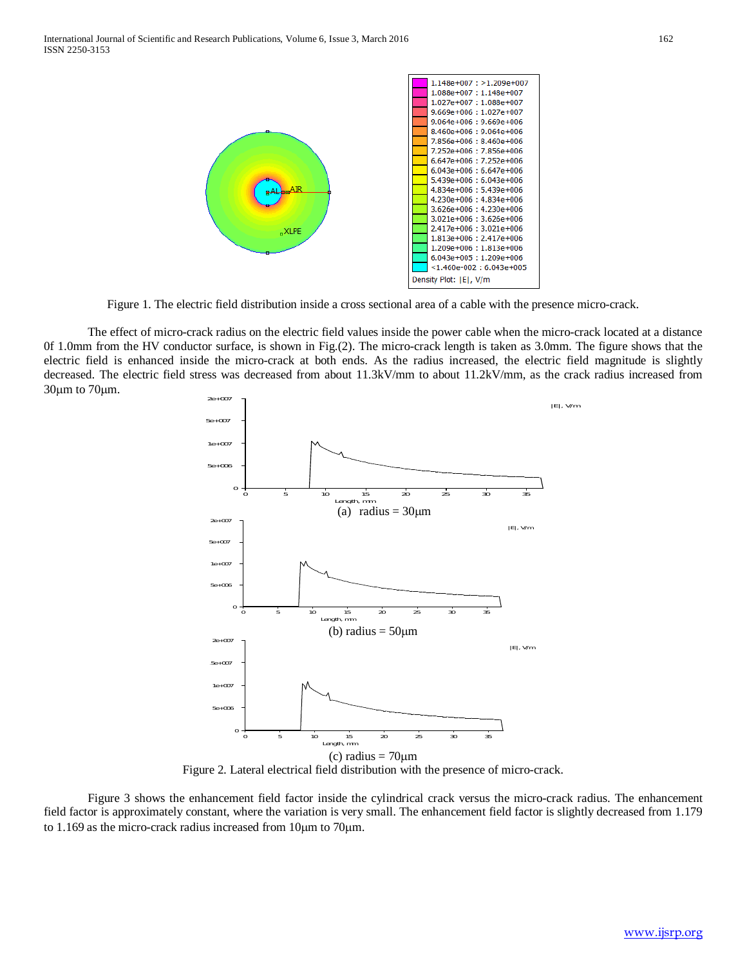

Figure 1. The electric field distribution inside a cross sectional area of a cable with the presence micro-crack.

The effect of micro-crack radius on the electric field values inside the power cable when the micro-crack located at a distance 0f 1.0mm from the HV conductor surface, is shown in Fig.(2). The micro-crack length is taken as 3.0mm. The figure shows that the electric field is enhanced inside the micro-crack at both ends. As the radius increased, the electric field magnitude is slightly decreased. The electric field stress was decreased from about 11.3kV/mm to about 11.2kV/mm, as the crack radius increased from 30µm to 70µm.



Figure 2. Lateral electrical field distribution with the presence of micro-crack.

Figure 3 shows the enhancement field factor inside the cylindrical crack versus the micro-crack radius. The enhancement field factor is approximately constant, where the variation is very small. The enhancement field factor is slightly decreased from 1.179 to 1.169 as the micro-crack radius increased from 10µm to 70µm.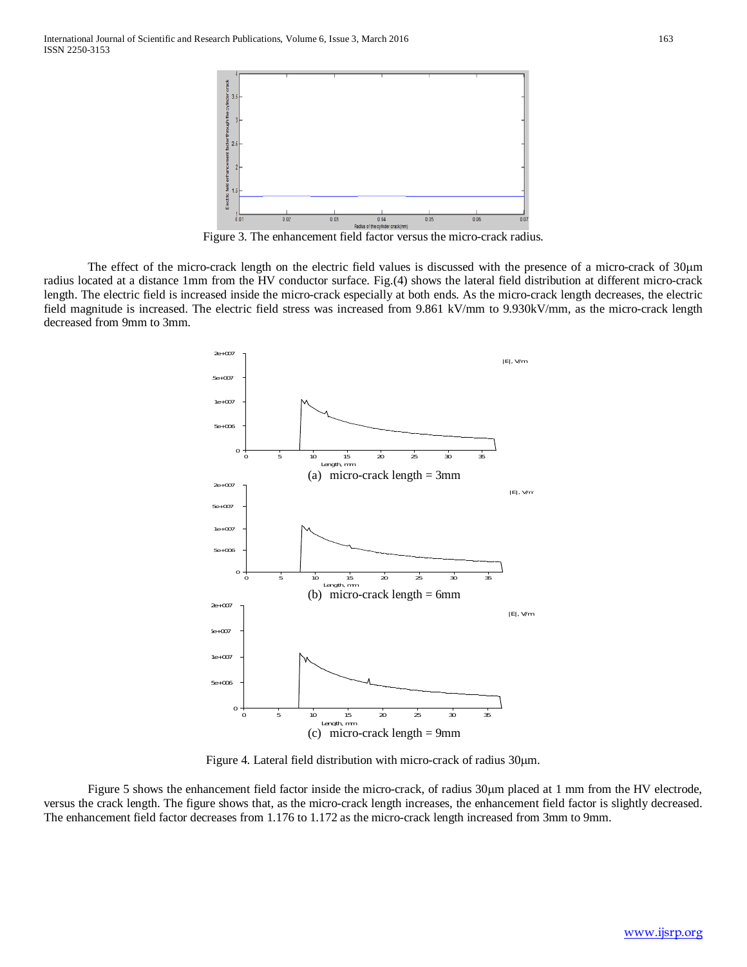

Figure 3. The enhancement field factor versus the micro-crack radius.

The effect of the micro-crack length on the electric field values is discussed with the presence of a micro-crack of 30µm radius located at a distance 1mm from the HV conductor surface. Fig.(4) shows the lateral field distribution at different micro-crack length. The electric field is increased inside the micro-crack especially at both ends. As the micro-crack length decreases, the electric field magnitude is increased. The electric field stress was increased from 9.861 kV/mm to 9.930kV/mm, as the micro-crack length decreased from 9mm to 3mm.



Figure 4. Lateral field distribution with micro-crack of radius 30µm.

Figure 5 shows the enhancement field factor inside the micro-crack, of radius 30µm placed at 1 mm from the HV electrode, versus the crack length. The figure shows that, as the micro-crack length increases, the enhancement field factor is slightly decreased. The enhancement field factor decreases from 1.176 to 1.172 as the micro-crack length increased from 3mm to 9mm.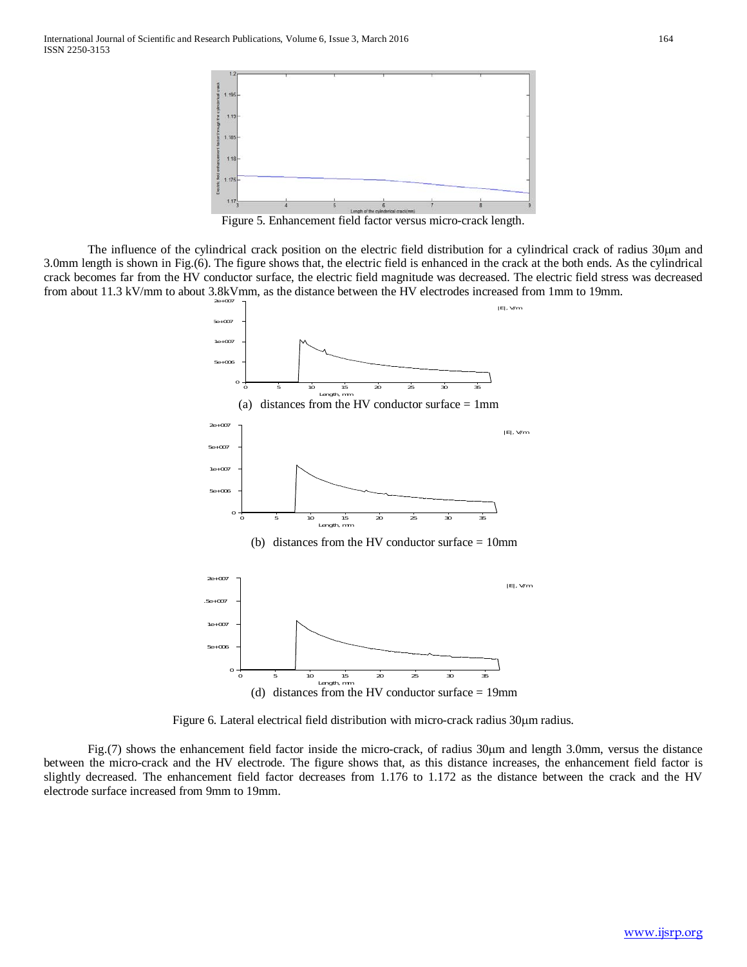

Figure 5. Enhancement field factor versus micro-crack length.

The influence of the cylindrical crack position on the electric field distribution for a cylindrical crack of radius 30µm and 3.0mm length is shown in Fig.(6). The figure shows that, the electric field is enhanced in the crack at the both ends. As the cylindrical crack becomes far from the HV conductor surface, the electric field magnitude was decreased. The electric field stress was decreased from about 11.3 kV/mm to about 3.8kVmm, as the distance between the HV electrodes increased from 1mm to 19mm.



Figure 6. Lateral electrical field distribution with micro-crack radius 30µm radius.

Fig.(7) shows the enhancement field factor inside the micro-crack, of radius 30µm and length 3.0mm, versus the distance between the micro-crack and the HV electrode. The figure shows that, as this distance increases, the enhancement field factor is slightly decreased. The enhancement field factor decreases from 1.176 to 1.172 as the distance between the crack and the HV electrode surface increased from 9mm to 19mm.